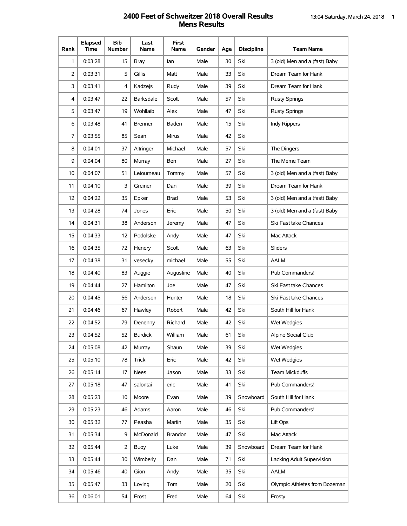## **2400 Feet of Schweitzer 2018 Overall Results** 13:04 Saturday, March 24, 2018 **1 Mens Results**

| Rank           | <b>Elapsed</b><br>Time | <b>Bib</b><br><b>Number</b> | Last<br>Name     | First<br>Name | <b>Gender</b> | Age | <b>Discipline</b> | <b>Team Name</b>              |
|----------------|------------------------|-----------------------------|------------------|---------------|---------------|-----|-------------------|-------------------------------|
| 1              | 0:03:28                | 15                          | <b>Bray</b>      | lan           | Male          | 30  | Ski               | 3 (old) Men and a (fast) Baby |
| $\overline{2}$ | 0:03:31                | 5                           | Gillis           | Matt          | Male          | 33  | Ski               | Dream Team for Hank           |
| 3              | 0:03:41                | 4                           | Kadzejs          | Rudy          | Male          | 39  | Ski               | Dream Team for Hank           |
| 4              | 0:03:47                | 22                          | <b>Barksdale</b> | Scott         | Male          | 57  | Ski               | <b>Rusty Springs</b>          |
| 5              | 0:03:47                | 19                          | Wohllaib         | Alex          | Male          | 47  | Ski               | Rusty Springs                 |
| 6              | 0:03:48                | 41                          | <b>Brenner</b>   | Baden         | Male          | 15  | Ski               | Indy Rippers                  |
| 7              | 0:03:55                | 85                          | Sean             | Mirus         | Male          | 42  | Ski               |                               |
| 8              | 0:04:01                | 37                          | Altringer        | Michael       | Male          | 57  | Ski               | The Dingers                   |
| 9              | 0:04:04                | 80                          | Murray           | Ben           | Male          | 27  | Ski               | The Meme Team                 |
| 10             | 0:04:07                | 51                          | Letourneau       | Tommy         | Male          | 57  | Ski               | 3 (old) Men and a (fast) Baby |
| 11             | 0:04:10                | 3                           | Greiner          | Dan           | Male          | 39  | Ski               | Dream Team for Hank           |
| 12             | 0:04:22                | 35                          | Epker            | <b>Brad</b>   | Male          | 53  | Ski               | 3 (old) Men and a (fast) Baby |
| 13             | 0:04:28                | 74                          | Jones            | Eric          | Male          | 50  | Ski               | 3 (old) Men and a (fast) Baby |
| 14             | 0:04:31                | 38                          | Anderson         | Jeremy        | Male          | 47  | Ski               | Ski Fast take Chances         |
| 15             | 0:04:33                | 12                          | Podolske         | Andy          | Male          | 47  | Ski               | Mac Attack                    |
| 16             | 0:04:35                | 72                          | Henery           | Scott         | Male          | 63  | Ski               | Sliders                       |
| 17             | 0:04:38                | 31                          | vesecky          | michael       | Male          | 55  | Ski               | <b>AALM</b>                   |
| 18             | 0:04:40                | 83                          | Auggie           | Augustine     | Male          | 40  | Ski               | Pub Commanders!               |
| 19             | 0:04:44                | 27                          | Hamilton         | Joe           | Male          | 47  | Ski               | Ski Fast take Chances         |
| 20             | 0:04:45                | 56                          | Anderson         | Hunter        | Male          | 18  | Ski               | Ski Fast take Chances         |
| 21             | 0:04:46                | 67                          | Hawley           | Robert        | Male          | 42  | Ski               | South Hill for Hank           |
| 22             | 0:04:52                | 79                          | Denenny          | Richard       | Male          | 42  | Ski               | Wet Wedgies                   |
| 23             | 0:04:52                | 52                          | <b>Burdick</b>   | William       | Male          | 61  | Ski               | Alpine Social Club            |
| 24             | 0:05:08                | 42                          | Murray           | Shaun         | Male          | 39  | Ski               | Wet Wedgies                   |
| 25             | 0:05:10                | 78                          | Trick            | Eric          | Male          | 42  | Ski               | Wet Wedgies                   |
| 26             | 0:05:14                | 17                          | Nees             | Jason         | Male          | 33  | Ski               | <b>Team Mickduffs</b>         |
| 27             | 0:05:18                | 47                          | salontai         | eric          | Male          | 41  | Ski               | Pub Commanders!               |
| 28             | 0:05:23                | 10                          | Moore            | Evan          | Male          | 39  | Snowboard         | South Hill for Hank           |
| 29             | 0:05:23                | 46                          | Adams            | Aaron         | Male          | 46  | Ski               | Pub Commanders!               |
| 30             | 0:05:32                | 77                          | Peasha           | Martin        | Male          | 35  | Ski               | Lift Ops                      |
| 31             | 0:05:34                | 9                           | McDonald         | Brandon       | Male          | 47  | Ski               | Mac Attack                    |
| 32             | 0:05:44                | 2                           | Buoy             | Luke          | Male          | 39  | Snowboard         | Dream Team for Hank           |
| 33             | 0:05:44                | 30                          | Wimberly         | Dan           | Male          | 71  | Ski               | Lacking Adult Supervision     |
| 34             | 0:05:46                | 40                          | Gion             | Andy          | Male          | 35  | Ski               | AALM                          |
| 35             | 0:05:47                | 33                          | Loving           | Tom           | Male          | 20  | Ski               | Olympic Athletes from Bozeman |
| 36             | 0:06:01                | 54                          | Frost            | Fred          | Male          | 64  | Ski               | Frosty                        |